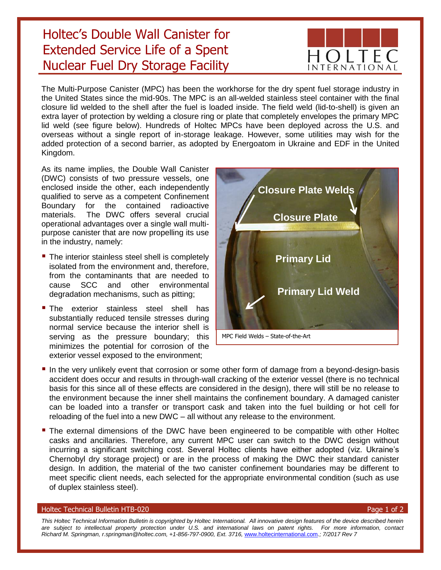## Holtec's Double Wall Canister for Extended Service Life of a Spent Nuclear Fuel Dry Storage Facility



The Multi-Purpose Canister (MPC) has been the workhorse for the dry spent fuel storage industry in the United States since the mid-90s. The MPC is an all-welded stainless steel container with the final closure lid welded to the shell after the fuel is loaded inside. The field weld (lid-to-shell) is given an extra layer of protection by welding a closure ring or plate that completely envelopes the primary MPC lid weld (see figure below). Hundreds of Holtec MPCs have been deployed across the U.S. and overseas without a single report of in-storage leakage. However, some utilities may wish for the added protection of a second barrier, as adopted by Energoatom in Ukraine and EDF in the United Kingdom.

As its name implies, the Double Wall Canister (DWC) consists of two pressure vessels, one enclosed inside the other, each independently qualified to serve as a competent Confinement Boundary for the contained radioactive materials. The DWC offers several crucial operational advantages over a single wall multipurpose canister that are now propelling its use in the industry, namely:

- **The interior stainless steel shell is completely** isolated from the environment and, therefore, from the contaminants that are needed to cause SCC and other environmental degradation mechanisms, such as pitting;
- **The exterior stainless steel shell has** substantially reduced tensile stresses during normal service because the interior shell is serving as the pressure boundary; this minimizes the potential for corrosion of the exterior vessel exposed to the environment;



- **I** In the very unlikely event that corrosion or some other form of damage from a beyond-design-basis accident does occur and results in through-wall cracking of the exterior vessel (there is no technical basis for this since all of these effects are considered in the design), there will still be no release to the environment because the inner shell maintains the confinement boundary. A damaged canister can be loaded into a transfer or transport cask and taken into the fuel building or hot cell for reloading of the fuel into a new DWC – all without any release to the environment.
- **The external dimensions of the DWC have been engineered to be compatible with other Holtec** casks and ancillaries. Therefore, any current MPC user can switch to the DWC design without incurring a significant switching cost. Several Holtec clients have either adopted (viz. Ukraine's Chernobyl dry storage project) or are in the process of making the DWC their standard canister design. In addition, the material of the two canister confinement boundaries may be different to meet specific client needs, each selected for the appropriate environmental condition (such as use of duplex stainless steel).

## Holtec Technical Bulletin HTB-020 **Page 1** of 2

*This Holtec Technical Information Bulletin is copyrighted by Holtec International. All innovative design features of the device described herein are subject to intellectual property protection under U.S. and international laws on patent rights. For more information, contact Richard M. Springman, r.springman@holtec.com, +1-856-797-0900, Ext. 3716,* [www.holtecinternational.com](http://www.holtecinternational.com/)*.; 7/2017 Rev 7*